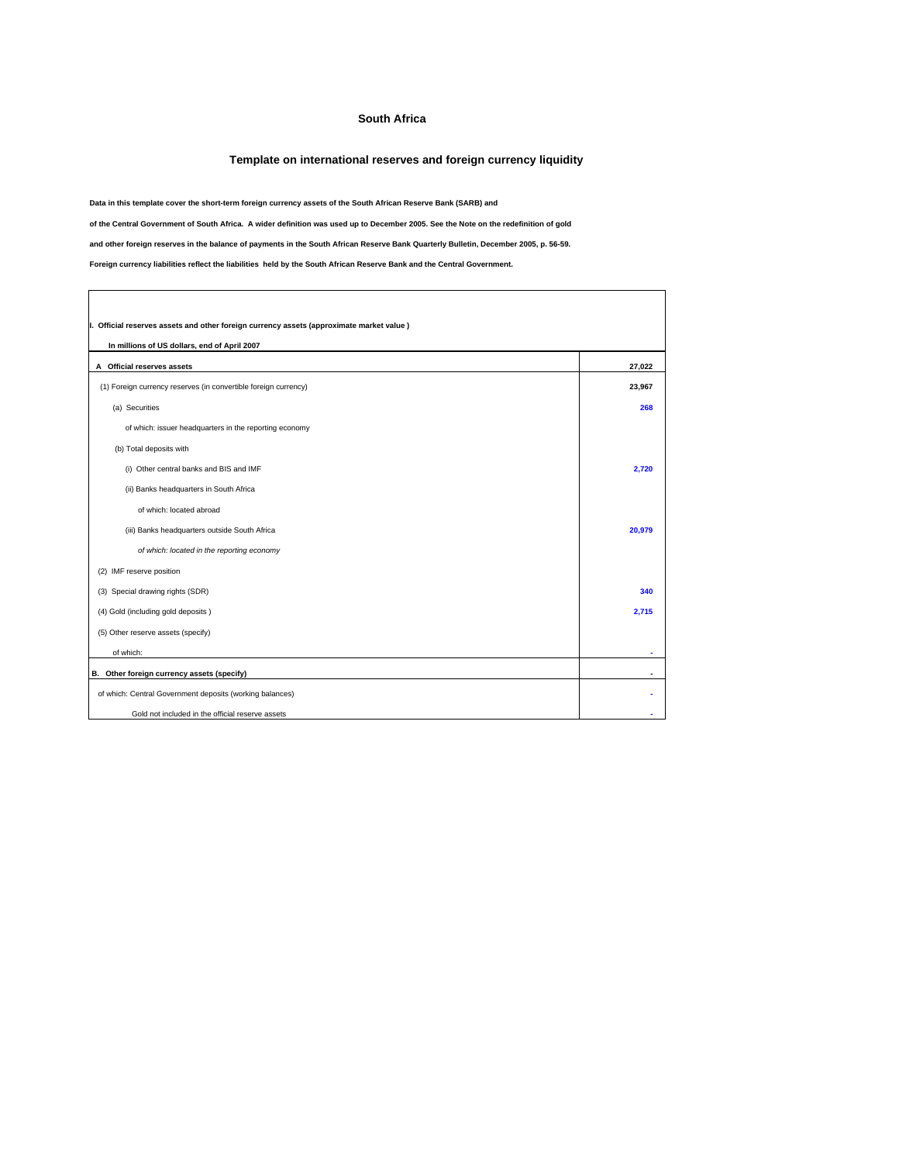## **South Africa**

## **Template on international reserves and foreign currency liquidity**

٦

**Data in this template cover the short-term foreign currency assets of the South African Reserve Bank (SARB) and**

**of the Central Government of South Africa. A wider definition was used up to December 2005. See the Note on the redefinition of gold**

**and other foreign reserves in the balance of payments in the South African Reserve Bank Quarterly Bulletin, December 2005, p. 56-59.**

**Foreign currency liabilities reflect the liabilities held by the South African Reserve Bank and the Central Government.**

 $\overline{\Gamma}$ 

| I. Official reserves assets and other foreign currency assets (approximate market value)<br>In millions of US dollars, end of April 2007 |        |  |  |
|------------------------------------------------------------------------------------------------------------------------------------------|--------|--|--|
| A Official reserves assets                                                                                                               | 27,022 |  |  |
| (1) Foreign currency reserves (in convertible foreign currency)                                                                          | 23,967 |  |  |
| (a) Securities                                                                                                                           | 268    |  |  |
| of which: issuer headquarters in the reporting economy                                                                                   |        |  |  |
| (b) Total deposits with                                                                                                                  |        |  |  |
| (i) Other central banks and BIS and IMF                                                                                                  | 2.720  |  |  |
| (ii) Banks headquarters in South Africa                                                                                                  |        |  |  |
| of which: located abroad                                                                                                                 |        |  |  |
| (iii) Banks headquarters outside South Africa                                                                                            | 20.979 |  |  |
| of which: located in the reporting economy                                                                                               |        |  |  |
| (2) IMF reserve position                                                                                                                 |        |  |  |
| (3) Special drawing rights (SDR)                                                                                                         | 340    |  |  |
| (4) Gold (including gold deposits)                                                                                                       | 2,715  |  |  |
| (5) Other reserve assets (specify)                                                                                                       |        |  |  |
| of which:                                                                                                                                | ۰      |  |  |
| B. Other foreign currency assets (specify)                                                                                               |        |  |  |
| of which: Central Government deposits (working balances)                                                                                 |        |  |  |
| Gold not included in the official reserve assets                                                                                         |        |  |  |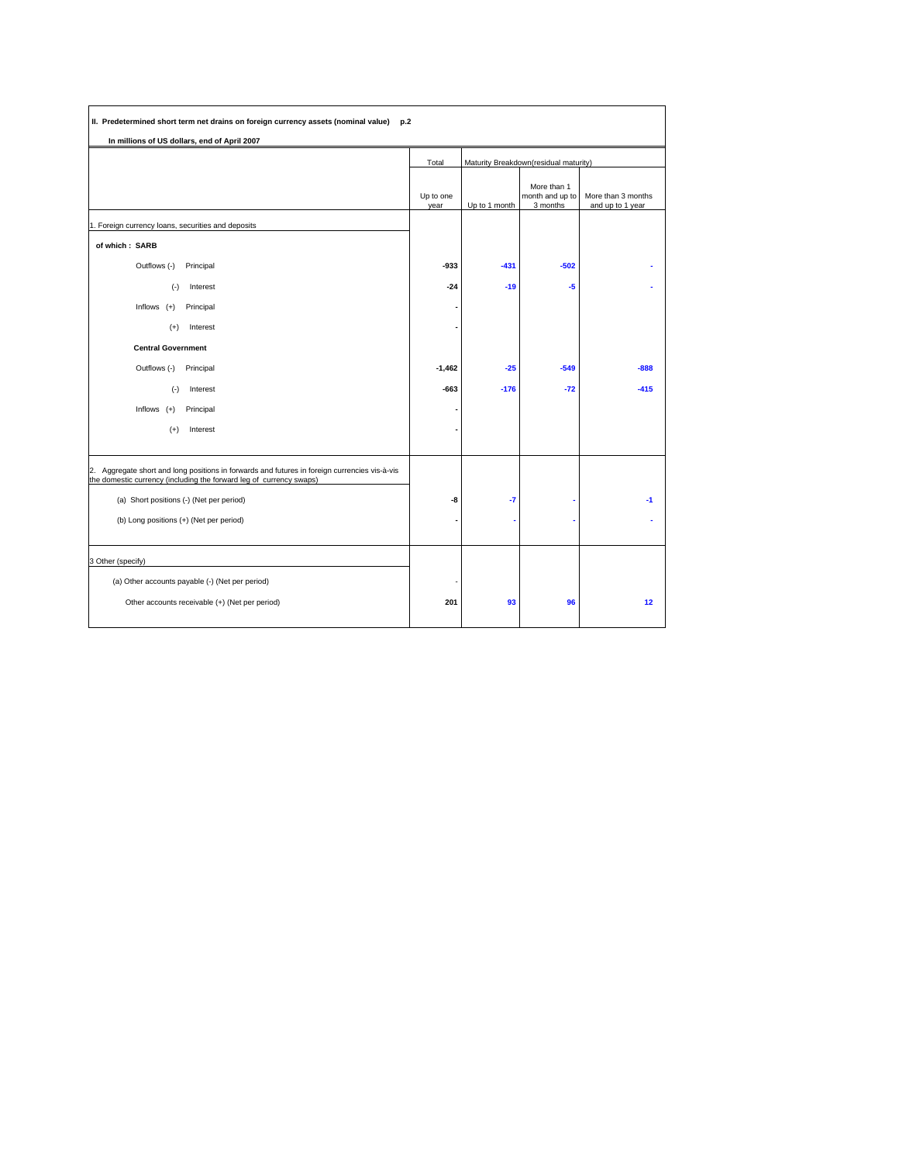| II. Predetermined short term net drains on foreign currency assets (nominal value) p.2                                                                               |                   |                                       |                                            |                                        |
|----------------------------------------------------------------------------------------------------------------------------------------------------------------------|-------------------|---------------------------------------|--------------------------------------------|----------------------------------------|
| In millions of US dollars, end of April 2007                                                                                                                         |                   |                                       |                                            |                                        |
|                                                                                                                                                                      | Total             | Maturity Breakdown(residual maturity) |                                            |                                        |
|                                                                                                                                                                      | Up to one<br>year | Up to 1 month                         | More than 1<br>month and up to<br>3 months | More than 3 months<br>and up to 1 year |
| 1. Foreign currency loans, securities and deposits                                                                                                                   |                   |                                       |                                            |                                        |
| of which: SARB                                                                                                                                                       |                   |                                       |                                            |                                        |
| Outflows (-)<br>Principal                                                                                                                                            | -933              | $-431$                                | $-502$                                     |                                        |
| $(-)$<br>Interest                                                                                                                                                    | $-24$             | $-19$                                 | $-5$                                       |                                        |
| Inflows $(+)$<br>Principal                                                                                                                                           |                   |                                       |                                            |                                        |
| Interest<br>$(+)$                                                                                                                                                    |                   |                                       |                                            |                                        |
| <b>Central Government</b>                                                                                                                                            |                   |                                       |                                            |                                        |
| Outflows (-)<br>Principal                                                                                                                                            | $-1,462$          | $-25$                                 | $-549$                                     | $-888$                                 |
| $(\cdot)$<br>Interest                                                                                                                                                | $-663$            | $-176$                                | $-72$                                      | $-415$                                 |
| Inflows $(+)$<br>Principal                                                                                                                                           |                   |                                       |                                            |                                        |
| $(+)$<br>Interest                                                                                                                                                    |                   |                                       |                                            |                                        |
|                                                                                                                                                                      |                   |                                       |                                            |                                        |
| 2. Aggregate short and long positions in forwards and futures in foreign currencies vis-à-vis<br>the domestic currency (including the forward leg of currency swaps) |                   |                                       |                                            |                                        |
| (a) Short positions (-) (Net per period)                                                                                                                             | -8                | -7                                    |                                            | $-1$                                   |
| (b) Long positions (+) (Net per period)                                                                                                                              |                   |                                       |                                            |                                        |
|                                                                                                                                                                      |                   |                                       |                                            |                                        |
| 3 Other (specify)                                                                                                                                                    |                   |                                       |                                            |                                        |
| (a) Other accounts payable (-) (Net per period)                                                                                                                      |                   |                                       |                                            |                                        |
| Other accounts receivable (+) (Net per period)                                                                                                                       | 201               | 93                                    | 96                                         | 12                                     |
|                                                                                                                                                                      |                   |                                       |                                            |                                        |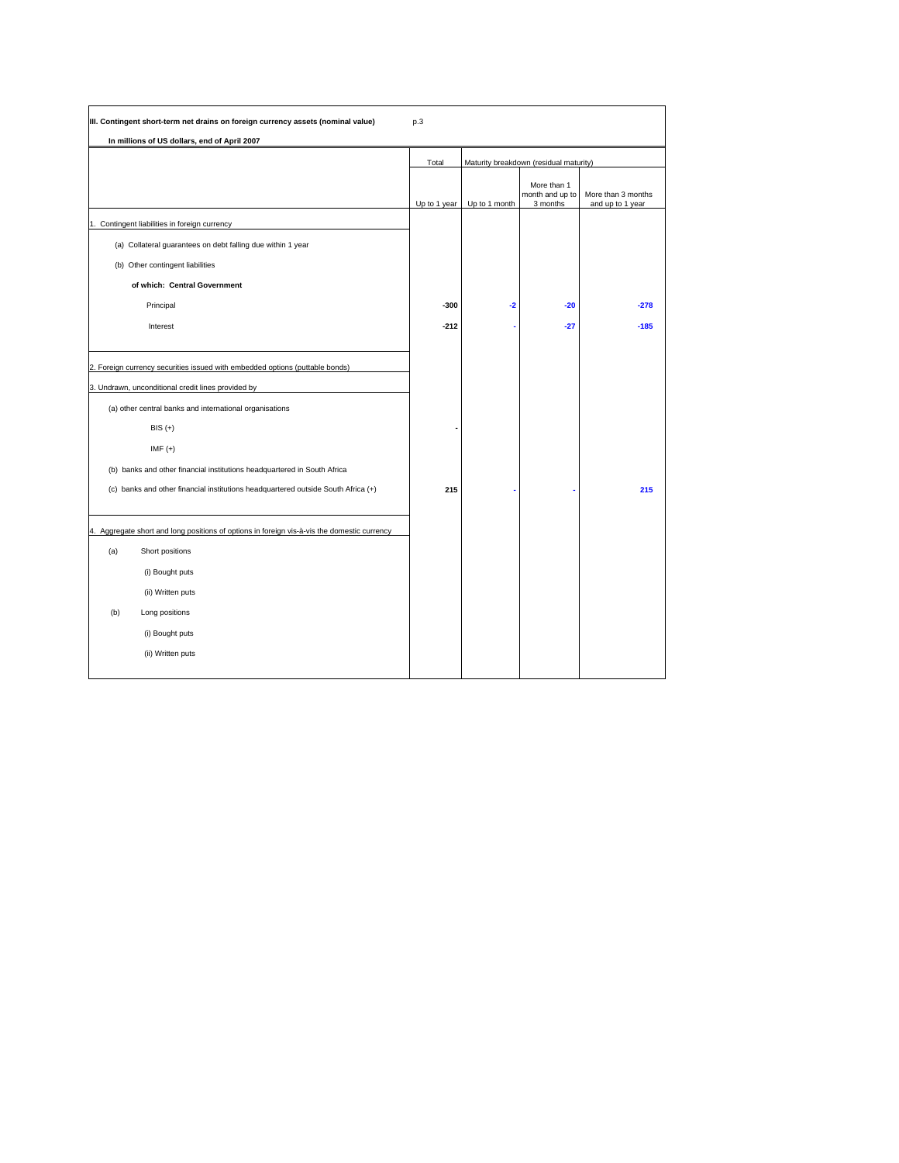| III. Contingent short-term net drains on foreign currency assets (nominal value)                                                                                                                           | p.3          |               |                                            |                                        |
|------------------------------------------------------------------------------------------------------------------------------------------------------------------------------------------------------------|--------------|---------------|--------------------------------------------|----------------------------------------|
| In millions of US dollars, end of April 2007                                                                                                                                                               |              |               |                                            |                                        |
|                                                                                                                                                                                                            | Total        |               | Maturity breakdown (residual maturity)     |                                        |
|                                                                                                                                                                                                            | Up to 1 year | Up to 1 month | More than 1<br>month and up to<br>3 months | More than 3 months<br>and up to 1 year |
| 1. Contingent liabilities in foreign currency                                                                                                                                                              |              |               |                                            |                                        |
| (a) Collateral guarantees on debt falling due within 1 year                                                                                                                                                |              |               |                                            |                                        |
| (b) Other contingent liabilities                                                                                                                                                                           |              |               |                                            |                                        |
| of which: Central Government                                                                                                                                                                               |              |               |                                            |                                        |
| Principal                                                                                                                                                                                                  | $-300$       | $-2$          | $-20$                                      | $-278$                                 |
| Interest                                                                                                                                                                                                   | $-212$       |               | $-27$                                      | $-185$                                 |
| 2. Foreign currency securities issued with embedded options (puttable bonds)<br>3. Undrawn, unconditional credit lines provided by<br>(a) other central banks and international organisations<br>$BIS (+)$ |              |               |                                            |                                        |
| $IMF (+)$                                                                                                                                                                                                  |              |               |                                            |                                        |
| (b) banks and other financial institutions headquartered in South Africa                                                                                                                                   |              |               |                                            |                                        |
| (c) banks and other financial institutions headquartered outside South Africa (+)                                                                                                                          | 215          |               |                                            | 215                                    |
| 4. Aggregate short and long positions of options in foreign vis-à-vis the domestic currency                                                                                                                |              |               |                                            |                                        |
| (a)<br>Short positions                                                                                                                                                                                     |              |               |                                            |                                        |
| (i) Bought puts                                                                                                                                                                                            |              |               |                                            |                                        |
| (ii) Written puts                                                                                                                                                                                          |              |               |                                            |                                        |
| (b)<br>Long positions                                                                                                                                                                                      |              |               |                                            |                                        |
| (i) Bought puts                                                                                                                                                                                            |              |               |                                            |                                        |
| (ii) Written puts                                                                                                                                                                                          |              |               |                                            |                                        |